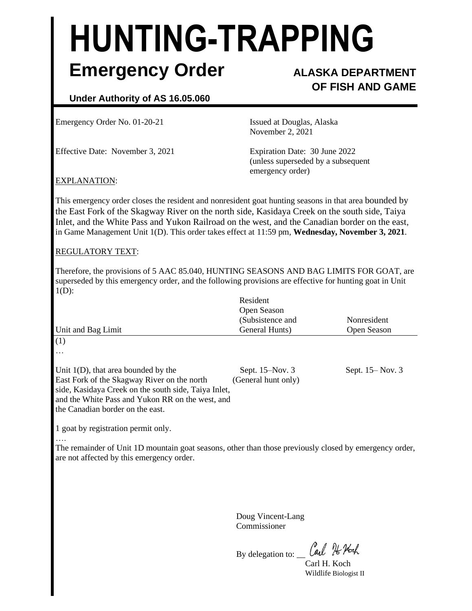# **HUNTING-TRAPPING Emergency Order ALASKA DEPARTMENT**

## **OF FISH AND GAME**

### **Under Authority of AS 16.05.060**

Emergency Order No. 01-20-21 **Issued at Douglas, Alaska** 

Effective Date: November 3, 2021 Expiration Date: 30 June 2022

November 2, 2021

(unless superseded by a subsequent emergency order)

#### EXPLANATION:

This emergency order closes the resident and nonresident goat hunting seasons in that area bounded by the East Fork of the Skagway River on the north side, Kasidaya Creek on the south side, Taiya Inlet, and the White Pass and Yukon Railroad on the west, and the Canadian border on the east, in Game Management Unit 1(D). This order takes effect at 11:59 pm, **Wednesday, November 3, 2021**.

#### REGULATORY TEXT:

Therefore, the provisions of 5 AAC 85.040, HUNTING SEASONS AND BAG LIMITS FOR GOAT, are superseded by this emergency order, and the following provisions are effective for hunting goat in Unit  $1(D)$ :

| Unit and Bag Limit                                                                                                                                                                                                                    | Resident<br>Open Season<br>(Subsistence and<br>General Hunts) | Nonresident<br>Open Season |
|---------------------------------------------------------------------------------------------------------------------------------------------------------------------------------------------------------------------------------------|---------------------------------------------------------------|----------------------------|
| (1)<br>$\cdots$                                                                                                                                                                                                                       |                                                               |                            |
| Unit $1(D)$ , that area bounded by the<br>East Fork of the Skagway River on the north<br>side, Kasidaya Creek on the south side, Taiya Inlet,<br>and the White Pass and Yukon RR on the west, and<br>the Canadian border on the east. | Sept. 15–Nov. 3<br>(General hunt only)                        | Sept. 15– Nov. 3           |

1 goat by registration permit only.

….

The remainder of Unit 1D mountain goat seasons, other than those previously closed by emergency order, are not affected by this emergency order.

> Doug Vincent-Lang Commissioner

By delegation to:  $\_\mathit{Gal}\ \mathcal{H}\mathcal{H}$ Carl H. Koch

Wildlife Biologist II